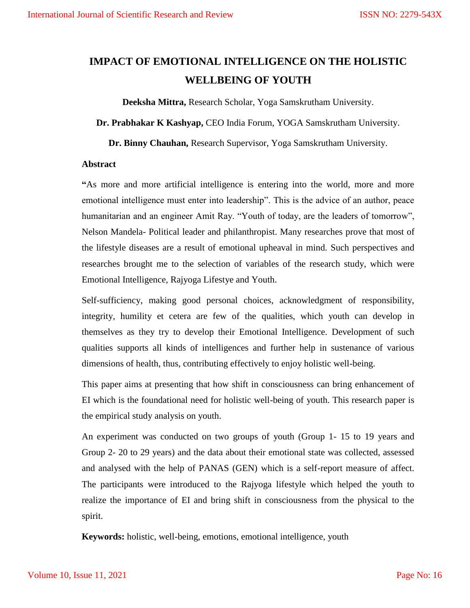# **IMPACT OF EMOTIONAL INTELLIGENCE ON THE HOLISTIC WELLBEING OF YOUTH**

**Deeksha Mittra,** Research Scholar, Yoga Samskrutham University.

**Dr. Prabhakar K Kashyap,** CEO India Forum, YOGA Samskrutham University.

**Dr. Binny Chauhan,** Research Supervisor, Yoga Samskrutham University.

#### **Abstract**

**"**As more and more artificial intelligence is entering into the world, more and more emotional intelligence must enter into leadership". This is the advice of an author, peace humanitarian and an engineer Amit Ray. "Youth of today, are the leaders of tomorrow", Nelson Mandela- Political leader and philanthropist. Many researches prove that most of the lifestyle diseases are a result of emotional upheaval in mind. Such perspectives and researches brought me to the selection of variables of the research study, which were Emotional Intelligence, Rajyoga Lifestye and Youth.

Self-sufficiency, making good personal choices, acknowledgment of responsibility, integrity, humility et cetera are few of the qualities, which youth can develop in themselves as they try to develop their Emotional Intelligence. Development of such qualities supports all kinds of intelligences and further help in sustenance of various dimensions of health, thus, contributing effectively to enjoy holistic well-being.

This paper aims at presenting that how shift in consciousness can bring enhancement of EI which is the foundational need for holistic well-being of youth. This research paper is the empirical study analysis on youth.

An experiment was conducted on two groups of youth (Group 1- 15 to 19 years and Group 2- 20 to 29 years) and the data about their emotional state was collected, assessed and analysed with the help of PANAS (GEN) which is a self-report measure of affect. The participants were introduced to the Rajyoga lifestyle which helped the youth to realize the importance of EI and bring shift in consciousness from the physical to the spirit.

**Keywords:** holistic, well-being, emotions, emotional intelligence, youth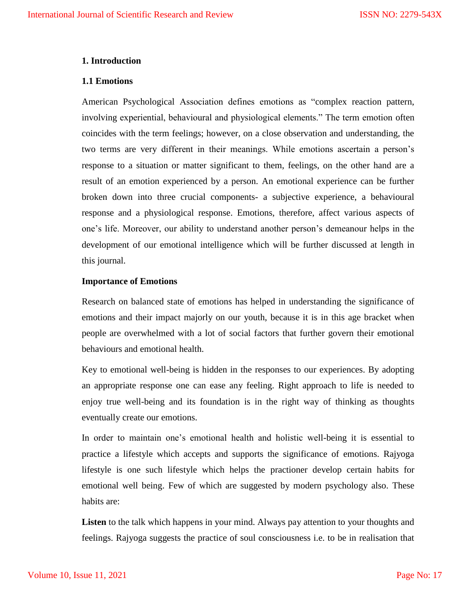#### **1. Introduction**

#### **1.1 Emotions**

American Psychological Association defines emotions as "complex reaction pattern, involving experiential, behavioural and physiological elements." The term emotion often coincides with the term feelings; however, on a close observation and understanding, the two terms are very different in their meanings. While emotions ascertain a person"s response to a situation or matter significant to them, feelings, on the other hand are a result of an emotion experienced by a person. An emotional experience can be further broken down into three crucial components- a subjective experience, a behavioural response and a physiological response. Emotions, therefore, affect various aspects of one"s life. Moreover, our ability to understand another person"s demeanour helps in the development of our emotional intelligence which will be further discussed at length in this journal.

#### **Importance of Emotions**

Research on balanced state of emotions has helped in understanding the significance of emotions and their impact majorly on our youth, because it is in this age bracket when people are overwhelmed with a lot of social factors that further govern their emotional behaviours and emotional health.

Key to emotional well-being is hidden in the responses to our experiences. By adopting an appropriate response one can ease any feeling. Right approach to life is needed to enjoy true well-being and its foundation is in the right way of thinking as thoughts eventually create our emotions.

In order to maintain one"s emotional health and holistic well-being it is essential to practice a lifestyle which accepts and supports the significance of emotions. Rajyoga lifestyle is one such lifestyle which helps the practioner develop certain habits for emotional well being. Few of which are suggested by modern psychology also. These habits are:

**Listen** to the talk which happens in your mind. Always pay attention to your thoughts and feelings. Rajyoga suggests the practice of soul consciousness i.e. to be in realisation that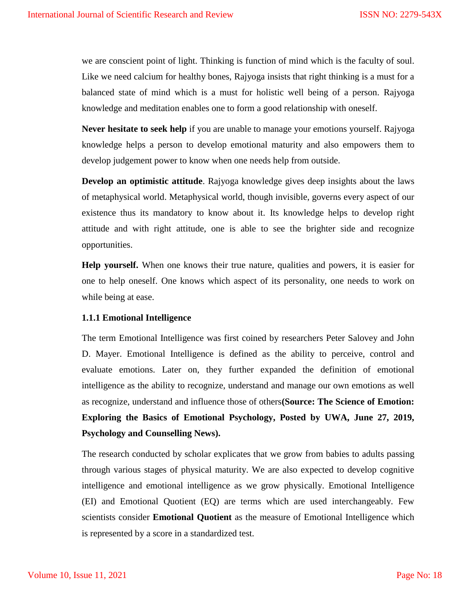we are conscient point of light. Thinking is function of mind which is the faculty of soul. Like we need calcium for healthy bones, Rajyoga insists that right thinking is a must for a balanced state of mind which is a must for holistic well being of a person. Rajyoga knowledge and meditation enables one to form a good relationship with oneself.

**Never hesitate to seek help** if you are unable to manage your emotions yourself. Rajyoga knowledge helps a person to develop emotional maturity and also empowers them to develop judgement power to know when one needs help from outside.

**Develop an optimistic attitude**. Rajyoga knowledge gives deep insights about the laws of metaphysical world. Metaphysical world, though invisible, governs every aspect of our existence thus its mandatory to know about it. Its knowledge helps to develop right attitude and with right attitude, one is able to see the brighter side and recognize opportunities.

**Help yourself.** When one knows their true nature, qualities and powers, it is easier for one to help oneself. One knows which aspect of its personality, one needs to work on while being at ease.

# **1.1.1 Emotional Intelligence**

The term Emotional Intelligence was first coined by researchers Peter Salovey and John D. Mayer. Emotional Intelligence is defined as the ability to perceive, control and evaluate emotions. Later on, they further expanded the definition of emotional intelligence as the ability to recognize, understand and manage our own emotions as well as recognize, understand and influence those of others**(Source: The Science of Emotion: Exploring the Basics of Emotional Psychology, Posted by UWA, June 27, 2019, Psychology and Counselling News).** 

The research conducted by scholar explicates that we grow from babies to adults passing through various stages of physical maturity. We are also expected to develop cognitive intelligence and emotional intelligence as we grow physically. Emotional Intelligence (EI) and Emotional Quotient (EQ) are terms which are used interchangeably. Few scientists consider **Emotional Quotient** as the measure of Emotional Intelligence which is represented by a score in a standardized test.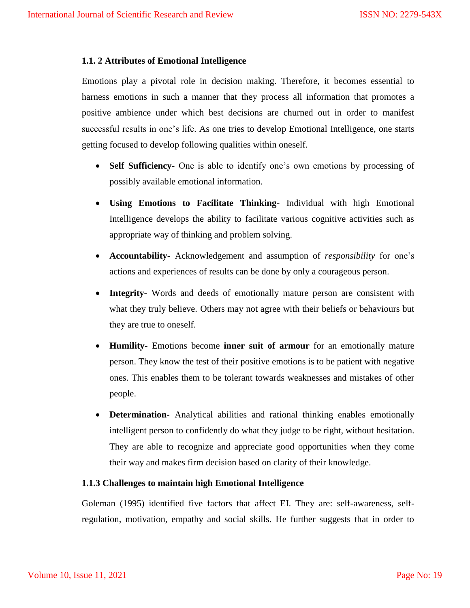# **1.1. 2 Attributes of Emotional Intelligence**

Emotions play a pivotal role in decision making. Therefore, it becomes essential to harness emotions in such a manner that they process all information that promotes a positive ambience under which best decisions are churned out in order to manifest successful results in one's life. As one tries to develop Emotional Intelligence, one starts getting focused to develop following qualities within oneself.

- **Self Sufficiency-** One is able to identify one"s own emotions by processing of possibly available emotional information.
- **Using Emotions to Facilitate Thinking-** Individual with high Emotional Intelligence develops the ability to facilitate various cognitive activities such as appropriate way of thinking and problem solving.
- **Accountability-** Acknowledgement and assumption of *responsibility* for one"s actions and experiences of results can be done by only a courageous person.
- **Integrity-** Words and deeds of emotionally mature person are consistent with what they truly believe. Others may not agree with their beliefs or behaviours but they are true to oneself.
- **Humility-** Emotions become **inner suit of armour** for an emotionally mature person. They know the test of their positive emotions is to be patient with negative ones. This enables them to be tolerant towards weaknesses and mistakes of other people.
- **Determination-** Analytical abilities and rational thinking enables emotionally intelligent person to confidently do what they judge to be right, without hesitation. They are able to recognize and appreciate good opportunities when they come their way and makes firm decision based on clarity of their knowledge.

# **1.1.3 Challenges to maintain high Emotional Intelligence**

Goleman (1995) identified five factors that affect EI. They are: self-awareness, selfregulation, motivation, empathy and social skills. He further suggests that in order to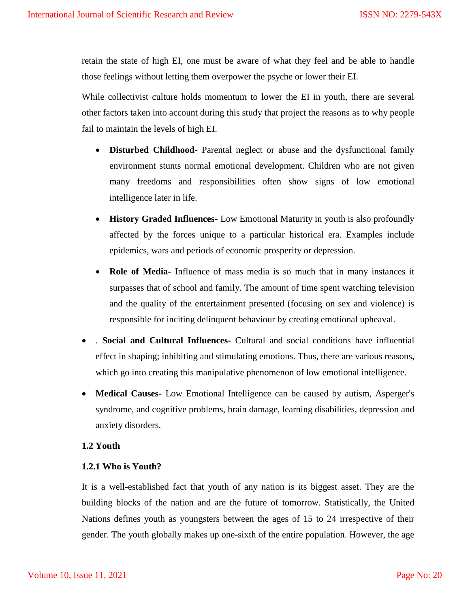retain the state of high EI, one must be aware of what they feel and be able to handle those feelings without letting them overpower the psyche or lower their EI.

While collectivist culture holds momentum to lower the EI in youth, there are several other factors taken into account during this study that project the reasons as to why people fail to maintain the levels of high EI.

- **Disturbed Childhood** Parental neglect or abuse and the dysfunctional family environment stunts normal emotional development. Children who are not given many freedoms and responsibilities often show signs of low emotional intelligence later in life.
- **History Graded Influences-** Low Emotional Maturity in youth is also profoundly affected by the forces unique to a particular historical era. Examples include epidemics, wars and periods of economic prosperity or depression.
- **Role of Media-** Influence of mass media is so much that in many instances it surpasses that of school and family. The amount of time spent watching television and the quality of the entertainment presented (focusing on sex and violence) is responsible for inciting delinquent behaviour by creating emotional upheaval.
- . **Social and Cultural Influences-** Cultural and social conditions have influential effect in shaping; inhibiting and stimulating emotions. Thus, there are various reasons, which go into creating this manipulative phenomenon of low emotional intelligence.
- **Medical Causes-** Low Emotional Intelligence can be caused by autism, Asperger's syndrome, and cognitive problems, brain damage, learning disabilities, depression and anxiety disorders.

# **1.2 Youth**

# **1.2.1 Who is Youth?**

It is a well-established fact that youth of any nation is its biggest asset. They are the building blocks of the nation and are the future of tomorrow. Statistically, the United Nations defines youth as youngsters between the ages of 15 to 24 irrespective of their gender. The youth globally makes up one-sixth of the entire population. However, the age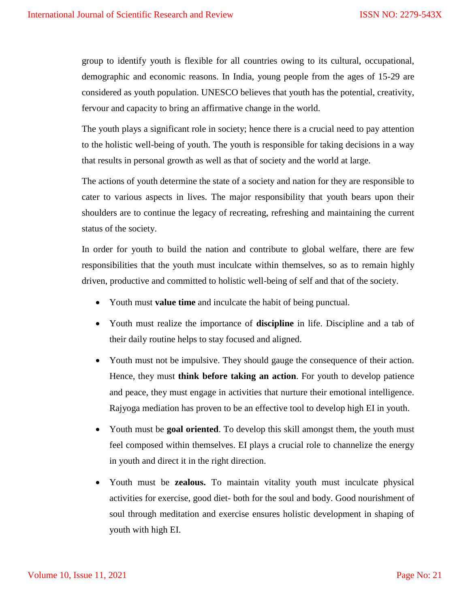group to identify youth is flexible for all countries owing to its cultural, occupational, demographic and economic reasons. In India, young people from the ages of 15-29 are considered as youth population. UNESCO believes that youth has the potential, creativity, fervour and capacity to bring an affirmative change in the world.

The youth plays a significant role in society; hence there is a crucial need to pay attention to the holistic well-being of youth. The youth is responsible for taking decisions in a way that results in personal growth as well as that of society and the world at large.

The actions of youth determine the state of a society and nation for they are responsible to cater to various aspects in lives. The major responsibility that youth bears upon their shoulders are to continue the legacy of recreating, refreshing and maintaining the current status of the society.

In order for youth to build the nation and contribute to global welfare, there are few responsibilities that the youth must inculcate within themselves, so as to remain highly driven, productive and committed to holistic well-being of self and that of the society.

- Youth must **value time** and inculcate the habit of being punctual.
- Youth must realize the importance of **discipline** in life. Discipline and a tab of their daily routine helps to stay focused and aligned.
- Youth must not be impulsive. They should gauge the consequence of their action. Hence, they must **think before taking an action**. For youth to develop patience and peace, they must engage in activities that nurture their emotional intelligence. Rajyoga mediation has proven to be an effective tool to develop high EI in youth.
- Youth must be **goal oriented**. To develop this skill amongst them, the youth must feel composed within themselves. EI plays a crucial role to channelize the energy in youth and direct it in the right direction.
- Youth must be **zealous.** To maintain vitality youth must inculcate physical activities for exercise, good diet- both for the soul and body. Good nourishment of soul through meditation and exercise ensures holistic development in shaping of youth with high EI.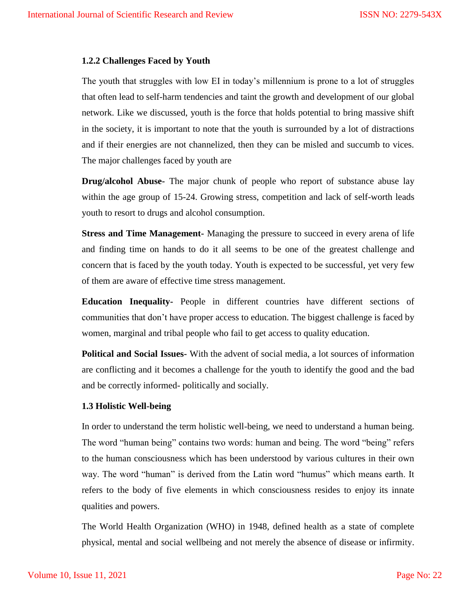#### **1.2.2 Challenges Faced by Youth**

The youth that struggles with low EI in today"s millennium is prone to a lot of struggles that often lead to self-harm tendencies and taint the growth and development of our global network. Like we discussed, youth is the force that holds potential to bring massive shift in the society, it is important to note that the youth is surrounded by a lot of distractions and if their energies are not channelized, then they can be misled and succumb to vices. The major challenges faced by youth are

**Drug/alcohol Abuse-** The major chunk of people who report of substance abuse lay within the age group of 15-24. Growing stress, competition and lack of self-worth leads youth to resort to drugs and alcohol consumption.

**Stress and Time Management-** Managing the pressure to succeed in every arena of life and finding time on hands to do it all seems to be one of the greatest challenge and concern that is faced by the youth today. Youth is expected to be successful, yet very few of them are aware of effective time stress management.

**Education Inequality-** People in different countries have different sections of communities that don"t have proper access to education. The biggest challenge is faced by women, marginal and tribal people who fail to get access to quality education.

**Political and Social Issues-** With the advent of social media, a lot sources of information are conflicting and it becomes a challenge for the youth to identify the good and the bad and be correctly informed- politically and socially.

#### **1.3 Holistic Well-being**

In order to understand the term holistic well-being, we need to understand a human being. The word "human being" contains two words: human and being. The word "being" refers to the human consciousness which has been understood by various cultures in their own way. The word "human" is derived from the Latin word "humus" which means earth. It refers to the body of five elements in which consciousness resides to enjoy its innate qualities and powers.

The World Health Organization (WHO) in 1948, defined health as a state of complete physical, mental and social wellbeing and not merely the absence of disease or infirmity.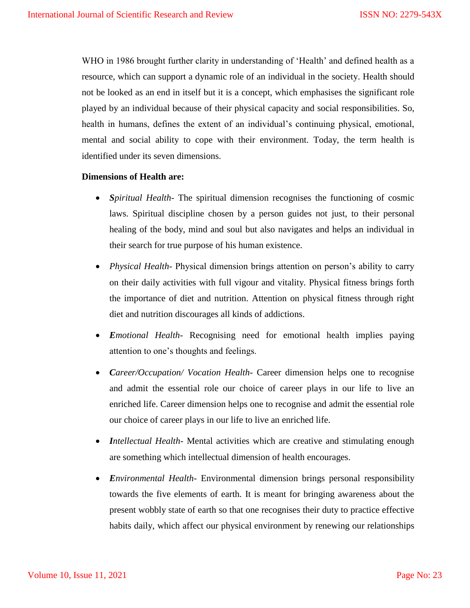WHO in 1986 brought further clarity in understanding of 'Health' and defined health as a resource, which can support a dynamic role of an individual in the society. Health should not be looked as an end in itself but it is a concept, which emphasises the significant role played by an individual because of their physical capacity and social responsibilities. So, health in humans, defines the extent of an individual's continuing physical, emotional, mental and social ability to cope with their environment. Today, the term health is identified under its seven dimensions.

# **Dimensions of Health are:**

- *Spiritual Health* The spiritual dimension recognises the functioning of cosmic laws. Spiritual discipline chosen by a person guides not just, to their personal healing of the body, mind and soul but also navigates and helps an individual in their search for true purpose of his human existence.
- *Physical Health* Physical dimension brings attention on person"s ability to carry on their daily activities with full vigour and vitality. Physical fitness brings forth the importance of diet and nutrition. Attention on physical fitness through right diet and nutrition discourages all kinds of addictions.
- *Emotional Health* Recognising need for emotional health implies paying attention to one"s thoughts and feelings.
- *Career/Occupation/ Vocation Health* Career dimension helps one to recognise and admit the essential role our choice of career plays in our life to live an enriched life. Career dimension helps one to recognise and admit the essential role our choice of career plays in our life to live an enriched life.
- *Intellectual Health* Mental activities which are creative and stimulating enough are something which intellectual dimension of health encourages.
- *Environmental Health* Environmental dimension brings personal responsibility towards the five elements of earth. It is meant for bringing awareness about the present wobbly state of earth so that one recognises their duty to practice effective habits daily, which affect our physical environment by renewing our relationships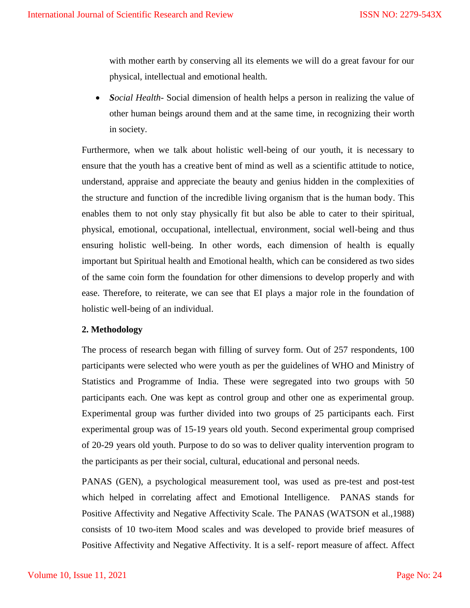with mother earth by conserving all its elements we will do a great favour for our physical, intellectual and emotional health.

• *Social Health*- Social dimension of health helps a person in realizing the value of other human beings around them and at the same time, in recognizing their worth in society.

Furthermore, when we talk about holistic well-being of our youth, it is necessary to ensure that the youth has a creative bent of mind as well as a scientific attitude to notice, understand, appraise and appreciate the beauty and genius hidden in the complexities of the structure and function of the incredible living organism that is the human body. This enables them to not only stay physically fit but also be able to cater to their spiritual, physical, emotional, occupational, intellectual, environment, social well-being and thus ensuring holistic well-being. In other words, each dimension of health is equally important but Spiritual health and Emotional health, which can be considered as two sides of the same coin form the foundation for other dimensions to develop properly and with ease. Therefore, to reiterate, we can see that EI plays a major role in the foundation of holistic well-being of an individual.

# **2. Methodology**

The process of research began with filling of survey form. Out of 257 respondents, 100 participants were selected who were youth as per the guidelines of WHO and Ministry of Statistics and Programme of India. These were segregated into two groups with 50 participants each. One was kept as control group and other one as experimental group. Experimental group was further divided into two groups of 25 participants each. First experimental group was of 15-19 years old youth. Second experimental group comprised of 20-29 years old youth. Purpose to do so was to deliver quality intervention program to the participants as per their social, cultural, educational and personal needs.

PANAS (GEN), a psychological measurement tool, was used as pre-test and post-test which helped in correlating affect and Emotional Intelligence. PANAS stands for Positive Affectivity and Negative Affectivity Scale. The PANAS (WATSON et al.,1988) consists of 10 two-item Mood scales and was developed to provide brief measures of Positive Affectivity and Negative Affectivity. It is a self- report measure of affect. Affect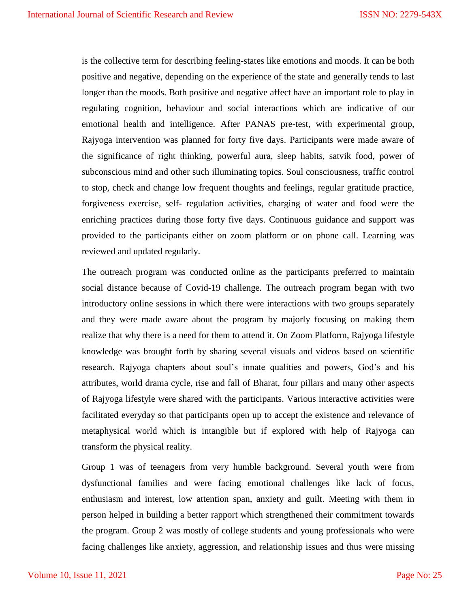is the collective term for describing feeling-states like emotions and moods. It can be both positive and negative, depending on the experience of the state and generally tends to last longer than the moods. Both positive and negative affect have an important role to play in regulating cognition, behaviour and social interactions which are indicative of our emotional health and intelligence. After PANAS pre-test, with experimental group, Rajyoga intervention was planned for forty five days. Participants were made aware of the significance of right thinking, powerful aura, sleep habits, satvik food, power of subconscious mind and other such illuminating topics. Soul consciousness, traffic control to stop, check and change low frequent thoughts and feelings, regular gratitude practice, forgiveness exercise, self- regulation activities, charging of water and food were the enriching practices during those forty five days. Continuous guidance and support was provided to the participants either on zoom platform or on phone call. Learning was reviewed and updated regularly.

The outreach program was conducted online as the participants preferred to maintain social distance because of Covid-19 challenge. The outreach program began with two introductory online sessions in which there were interactions with two groups separately and they were made aware about the program by majorly focusing on making them realize that why there is a need for them to attend it. On Zoom Platform, Rajyoga lifestyle knowledge was brought forth by sharing several visuals and videos based on scientific research. Rajyoga chapters about soul's innate qualities and powers, God's and his attributes, world drama cycle, rise and fall of Bharat, four pillars and many other aspects of Rajyoga lifestyle were shared with the participants. Various interactive activities were facilitated everyday so that participants open up to accept the existence and relevance of metaphysical world which is intangible but if explored with help of Rajyoga can transform the physical reality.

Group 1 was of teenagers from very humble background. Several youth were from dysfunctional families and were facing emotional challenges like lack of focus, enthusiasm and interest, low attention span, anxiety and guilt. Meeting with them in person helped in building a better rapport which strengthened their commitment towards the program. Group 2 was mostly of college students and young professionals who were facing challenges like anxiety, aggression, and relationship issues and thus were missing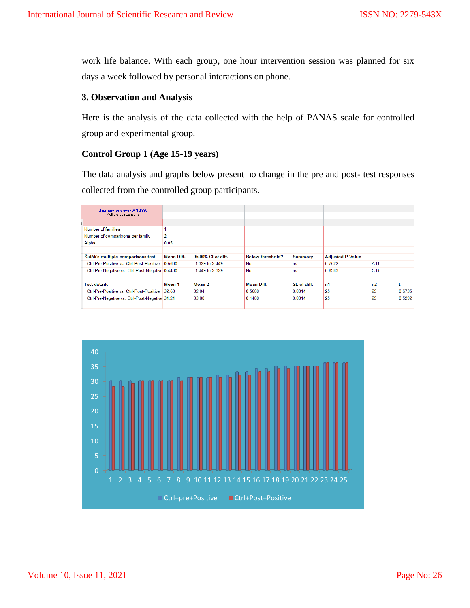work life balance. With each group, one hour intervention session was planned for six days a week followed by personal interactions on phone.

# **3. Observation and Analysis**

Here is the analysis of the data collected with the help of PANAS scale for controlled group and experimental group.

# **Control Group 1 (Age 15-19 years)**

The data analysis and graphs below present no change in the pre and post- test responses collected from the controlled group participants.

| Ordinary one-way ANOVA                          |                   |                    |                         |                |                         |       |        |
|-------------------------------------------------|-------------------|--------------------|-------------------------|----------------|-------------------------|-------|--------|
| Multiple comparisons                            |                   |                    |                         |                |                         |       |        |
|                                                 |                   |                    |                         |                |                         |       |        |
| Number of families                              |                   |                    |                         |                |                         |       |        |
| Number of comparisons per family                | 2                 |                    |                         |                |                         |       |        |
| Alpha                                           | 0.05              |                    |                         |                |                         |       |        |
|                                                 |                   |                    |                         |                |                         |       |        |
| Sídák's multiple comparisons test               | <b>Mean Diff.</b> | 95.00% CI of diff. | <b>Below threshold?</b> | <b>Summary</b> | <b>Adjusted P Value</b> |       |        |
| Ctrl-Pre-Positive vs. Ctrl-Post-Positive        | 0.5600            | $-1.329$ to 2.449  | <b>No</b>               | <b>ns</b>      | 0.7522                  | $A-B$ |        |
| Ctrl-Pre-Negative vs. Ctrl-Post-Negative 0.4400 |                   | $-1.449$ to 2.329  | <b>No</b>               | ns             | 0.8383                  | $C-D$ |        |
|                                                 |                   |                    |                         |                |                         |       |        |
| <b>Test details</b>                             | Mean 1            | Mean 2             | <b>Mean Diff.</b>       | SE of diff.    | n1                      | n2    |        |
| Ctrl-Pre-Positive vs. Ctrl-Post-Positive        | 32.60             | 32.04              | 0.5600                  | 0.8314         | 25                      | 25    | 0.6735 |
| Ctrl-Pre-Negative vs. Ctrl-Post-Negative 34.24  |                   | 33.80              | 0.4400                  | 0.8314         | 25                      | 25    | 0.5292 |
|                                                 |                   |                    |                         |                |                         |       |        |

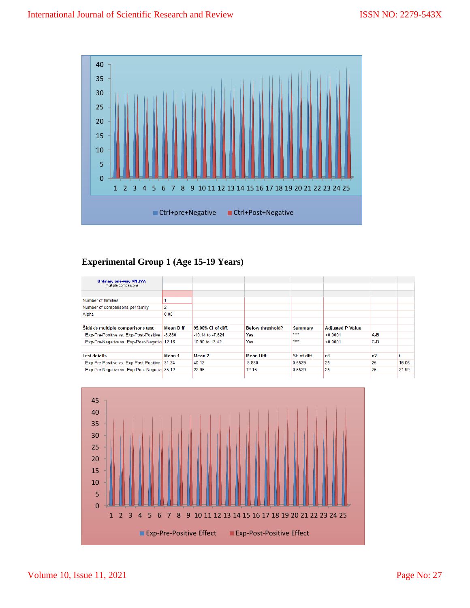

# **Experimental Group 1 (Age 15-19 Years)**

| <b>Ordinary one-way ANOVA</b><br>Multiple comparisons |                |                      |                         |             |                         |       |       |
|-------------------------------------------------------|----------------|----------------------|-------------------------|-------------|-------------------------|-------|-------|
|                                                       |                |                      |                         |             |                         |       |       |
| Number of families                                    |                |                      |                         |             |                         |       |       |
| Number of comparisons per family                      | $\overline{2}$ |                      |                         |             |                         |       |       |
| Alpha                                                 | 0.05           |                      |                         |             |                         |       |       |
|                                                       |                |                      |                         |             |                         |       |       |
| Sídák's multiple comparisons test                     | Mean Diff.     | 95.00% CI of diff.   | <b>Below threshold?</b> | Summary     | <b>Adjusted P Value</b> |       |       |
| Exp-Pre-Positive vs. Exp-Post-Positive                | $-8.880$       | $-10.14$ to $-7.624$ | <b>Yes</b>              | ****        | < 0.0001                | $A-B$ |       |
| Exp-Pre-Negative vs. Exp-Post-Negative 12.16          |                | 10.90 to 13.42       | <b>Yes</b>              | ****        | < 0.0001                | $C-D$ |       |
|                                                       |                |                      |                         |             |                         |       |       |
| <b>Test details</b>                                   | Mean 1         | Mean 2               | <b>Mean Diff.</b>       | SE of diff. | n1                      | n2    | t     |
| Exp-Pre-Positive vs. Exp-Post-Positive                | 31.24          | 40.12                | $-8.880$                | 0.5529      | 25                      | 25    | 16.06 |
| Exp-Pre-Negative vs. Exp-Post-Negative 35.12          |                | 22.96                | 12.16                   | 0.5529      | 25                      | 25    | 21.99 |
|                                                       |                |                      |                         |             |                         |       |       |

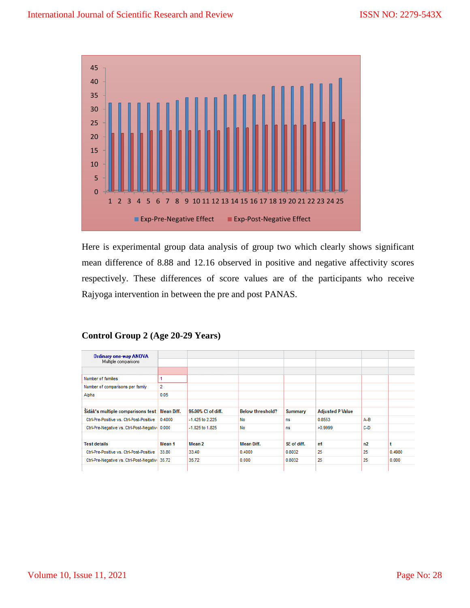

Here is experimental group data analysis of group two which clearly shows significant mean difference of 8.88 and 12.16 observed in positive and negative affectivity scores respectively. These differences of score values are of the participants who receive Rajyoga intervention in between the pre and post PANAS.

# **Control Group 2 (Age 20-29 Years)**

| Ordinary one-way ANOVA                         |            |                     |                         |             |                         |       |        |
|------------------------------------------------|------------|---------------------|-------------------------|-------------|-------------------------|-------|--------|
| Multiple comparisons                           |            |                     |                         |             |                         |       |        |
|                                                |            |                     |                         |             |                         |       |        |
| Number of families                             | 1          |                     |                         |             |                         |       |        |
| Number of comparisons per family               | 2          |                     |                         |             |                         |       |        |
| Alpha                                          | 0.05       |                     |                         |             |                         |       |        |
|                                                |            |                     |                         |             |                         |       |        |
| Šídák's multiple comparisons test              | Mean Diff. | 95.00% CI of diff.  | <b>Below threshold?</b> | Summary     | <b>Adjusted P Value</b> |       |        |
| Ctrl-Pre-Positive vs. Ctrl-Post-Positive       | 0.4000     | $-1.425$ to 2.225   | No                      | ns          | 0.8553                  | $A-B$ |        |
| Ctrl-Pre-Negative vs. Ctrl-Post-Negativi 0.000 |            | $-1.825$ to $1.825$ | No                      | ns          | >0.9999                 | $C-D$ |        |
|                                                |            |                     |                         |             |                         |       |        |
| <b>Test details</b>                            | Mean 1     | Mean 2              | Mean Diff.              | SE of diff. | n1                      | n2    | t      |
| Ctrl-Pre-Positive vs. Ctrl-Post-Positive       | 33.80      | 33.40               | 0.4000                  | 0.8032      | 25                      | 25    | 0.4980 |
| Ctrl-Pre-Negative vs. Ctrl-Post-Negativi 35.72 |            | 35.72               | 0.000                   | 0.8032      | 25                      | 25    | 0.000  |
|                                                |            |                     |                         |             |                         |       |        |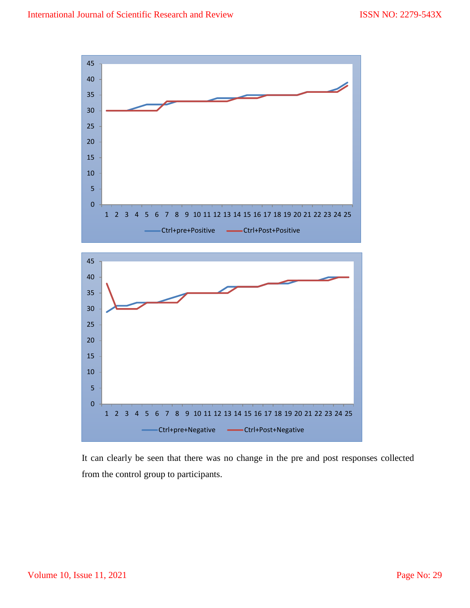

It can clearly be seen that there was no change in the pre and post responses collected from the control group to participants.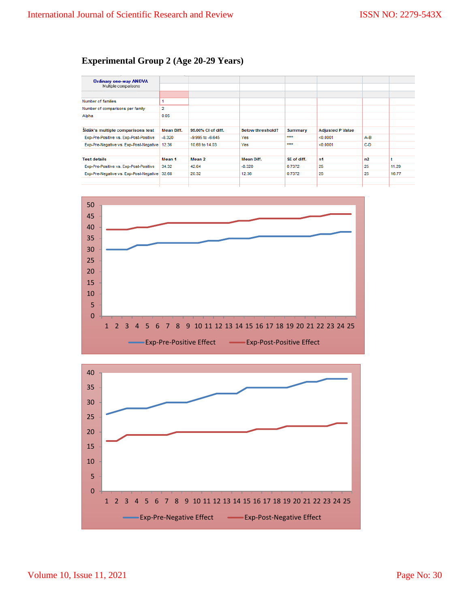# **Experimental Group 2 (Age 20-29 Years)**

| Ordinary one-way ANOVA<br>Multiple comparisons |                |                      |                         |             |                         |       |       |
|------------------------------------------------|----------------|----------------------|-------------------------|-------------|-------------------------|-------|-------|
|                                                |                |                      |                         |             |                         |       |       |
| Number of families                             |                |                      |                         |             |                         |       |       |
| Number of comparisons per family               | $\overline{2}$ |                      |                         |             |                         |       |       |
| Alpha                                          | 0.05           |                      |                         |             |                         |       |       |
|                                                |                |                      |                         |             |                         |       |       |
| Šídák's multiple comparisons test              | Mean Diff.     | 95.00% CI of diff.   | <b>Below threshold?</b> | Summary     | <b>Adjusted P Value</b> |       |       |
| Exp-Pre-Positive vs. Exp-Post-Positive         | $-8.320$       | $-9.995$ to $-6.645$ | Yes                     | $x***$      | < 0.0001                | $A-B$ |       |
| Exp-Pre-Negative vs. Exp-Post-Negative 12.36   |                | 10.69 to 14.03       | Yes                     | $x***$      | < 0.0001                | $C-D$ |       |
|                                                |                |                      |                         |             |                         |       |       |
| <b>Test details</b>                            | Mean 1         | Mean 2               | <b>Mean Diff.</b>       | SE of diff. | n1                      | n2    | t     |
| Exp-Pre-Positive vs. Exp-Post-Positive         | 34.32          | 42.64                | $-8.320$                | 0.7372      | 25                      | 25    | 11.29 |
| Exp-Pre-Negative vs. Exp-Post-Negative 32.68   |                | 20.32                | 12.36                   | 0.7372      | 25                      | 25    | 16.77 |
|                                                |                |                      |                         |             |                         |       |       |
|                                                |                |                      |                         |             |                         |       |       |



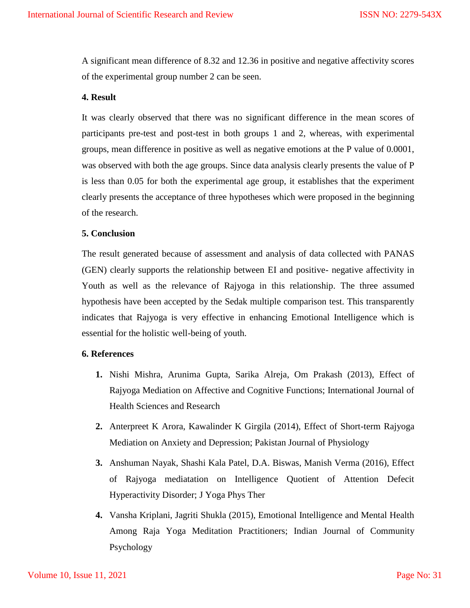A significant mean difference of 8.32 and 12.36 in positive and negative affectivity scores of the experimental group number 2 can be seen.

#### **4. Result**

It was clearly observed that there was no significant difference in the mean scores of participants pre-test and post-test in both groups 1 and 2, whereas, with experimental groups, mean difference in positive as well as negative emotions at the P value of 0.0001, was observed with both the age groups. Since data analysis clearly presents the value of P is less than 0.05 for both the experimental age group, it establishes that the experiment clearly presents the acceptance of three hypotheses which were proposed in the beginning of the research.

#### **5. Conclusion**

The result generated because of assessment and analysis of data collected with PANAS (GEN) clearly supports the relationship between EI and positive- negative affectivity in Youth as well as the relevance of Rajyoga in this relationship. The three assumed hypothesis have been accepted by the Sedak multiple comparison test. This transparently indicates that Rajyoga is very effective in enhancing Emotional Intelligence which is essential for the holistic well-being of youth.

# **6. References**

- **1.** Nishi Mishra, Arunima Gupta, Sarika Alreja, Om Prakash (2013), Effect of Rajyoga Mediation on Affective and Cognitive Functions; International Journal of Health Sciences and Research
- **2.** Anterpreet K Arora, Kawalinder K Girgila (2014), Effect of Short-term Rajyoga Mediation on Anxiety and Depression; Pakistan Journal of Physiology
- **3.** Anshuman Nayak, Shashi Kala Patel, D.A. Biswas, Manish Verma (2016), Effect of Rajyoga mediatation on Intelligence Quotient of Attention Defecit Hyperactivity Disorder; J Yoga Phys Ther
- **4.** Vansha Kriplani, Jagriti Shukla (2015), Emotional Intelligence and Mental Health Among Raja Yoga Meditation Practitioners; Indian Journal of Community Psychology